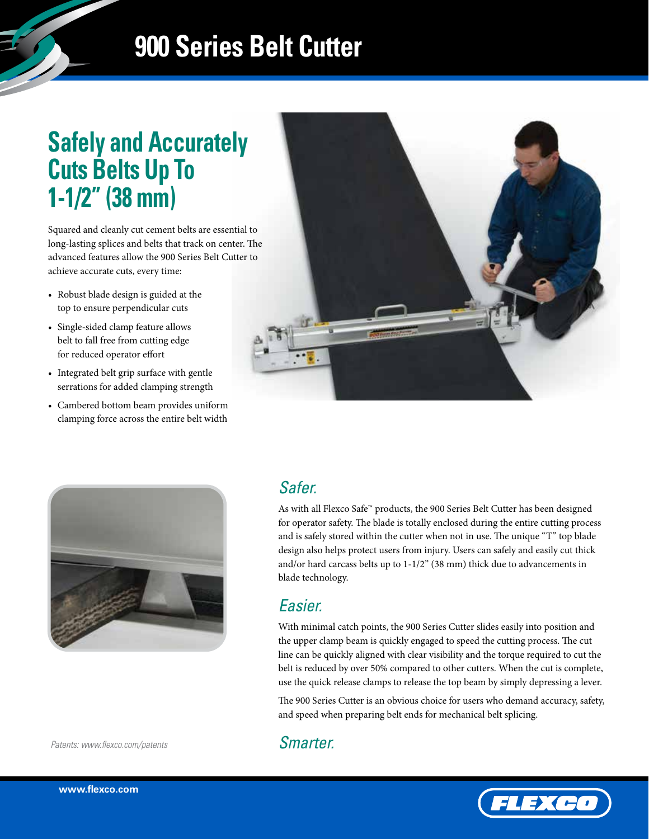# **900 Series Belt Cutter**

## **Safely and Accurately Cuts Belts Up To 1-1/2" (38 mm)**

Squared and cleanly cut cement belts are essential to long-lasting splices and belts that track on center. The advanced features allow the 900 Series Belt Cutter to achieve accurate cuts, every time:

- Robust blade design is guided at the top to ensure perpendicular cuts
- Single-sided clamp feature allows belt to fall free from cutting edge for reduced operator effort
- Integrated belt grip surface with gentle serrations for added clamping strength
- Cambered bottom beam provides uniform clamping force across the entire belt width





### *Safer.*

As with all Flexco Safe™ products, the 900 Series Belt Cutter has been designed for operator safety. The blade is totally enclosed during the entire cutting process and is safely stored within the cutter when not in use. The unique "T" top blade design also helps protect users from injury. Users can safely and easily cut thick and/or hard carcass belts up to 1-1/2" (38 mm) thick due to advancements in blade technology.

### *Easier.*

With minimal catch points, the 900 Series Cutter slides easily into position and the upper clamp beam is quickly engaged to speed the cutting process. The cut line can be quickly aligned with clear visibility and the torque required to cut the belt is reduced by over 50% compared to other cutters. When the cut is complete, use the quick release clamps to release the top beam by simply depressing a lever.

The 900 Series Cutter is an obvious choice for users who demand accuracy, safety, and speed when preparing belt ends for mechanical belt splicing.

#### *Patents: www.flexco.com/patents*

### *Smarter.*